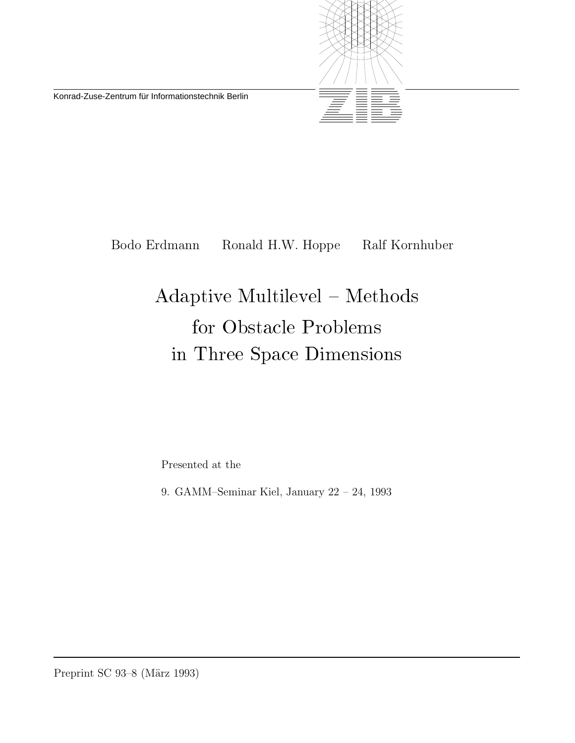Konrad-Zuse-Zentrum für Informationstechnik Berlin



Bodo Erdmann Ronald H.W. Hoppe Ralf Kornhuber

# Adaptive Multilevel - Methods for Obstacle Problems in Three Space Dimensions

Presented at the

9. GAMM–Seminar Kiel, January 22 – 24, 1993

Preprint SC 93–8 (März 1993)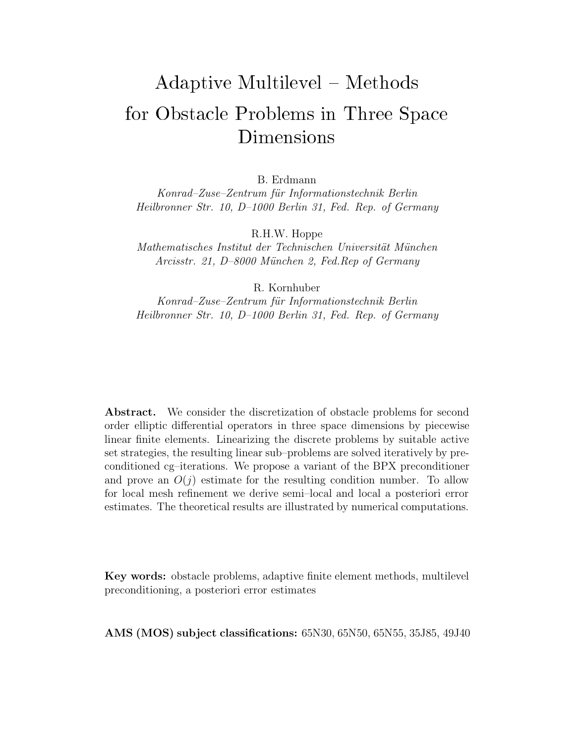## Adaptive Multiple Multiple Multiple Multiple Multiple Multiple Multiple Multiple Multiple Multiple Multiple Mu for Obstacle Problems in Three Space Dimensions

B. Erdmann

*Konrad–Zuse–Zentrum f¨ur Informationstechnik Berlin Heilbronner Str. 10, D–1000 Berlin 31, Fed. Rep. of Germany*

R.H.W. Hoppe

*Mathematisches Institut der Technischen Universit¨at M¨unchen Arcisstr. 21, D–8000 M¨unchen 2, Fed.Rep of Germany*

R. Kornhuber

*Konrad–Zuse–Zentrum f¨ur Informationstechnik Berlin Heilbronner Str. 10, D–1000 Berlin 31, Fed. Rep. of Germany*

Abstract. We consider the discretization of obstacle problems for second order elliptic differential operators in three space dimensions by piecewise linear finite elements. Linearizing the discrete problems by suitable active set strategies, the resulting linear sub–problems are solved iteratively by preconditioned cg–iterations. We propose a variant of the BPX preconditioner and prove an  $O(j)$  estimate for the resulting condition number. To allow for local mesh refinement we derive semi–local and local a posteriori error estimates. The theoretical results are illustrated by numerical computations.

**Key words:** obstacle problems, adaptive finite element methods, multilevel preconditioning, a posteriori error estimates

**AMS (MOS) subject classifications:** 65N30, 65N50, 65N55, 35J85, 49J40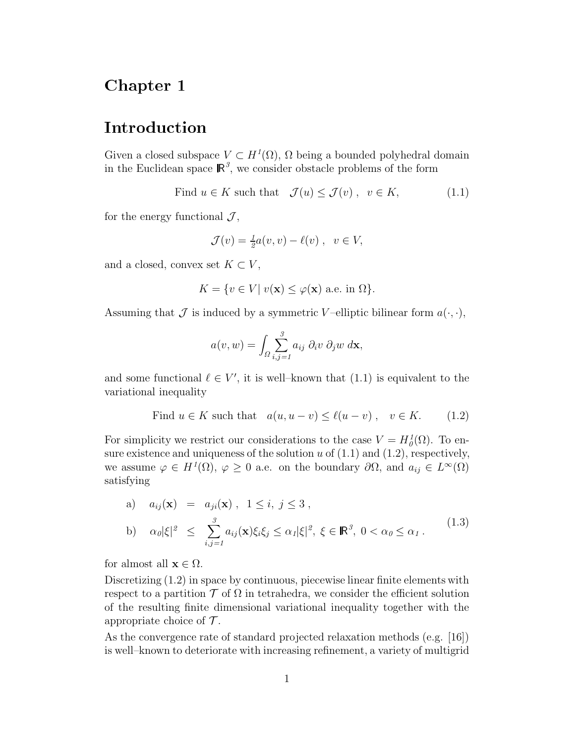#### Chapter 1

### Introduction

Given a closed subspace  $V \subset H^1(\Omega)$ ,  $\Omega$  being a bounded polyhedral domain in the Euclidean space  $\mathbb{R}^3$ , we consider obstacle problems of the form

Find  $u \in K$  such that  $\mathcal{J}(u) \leq \mathcal{J}(v)$ ,  $v \in K$ , (1.1)

for the energy functional  $\mathcal{J}$ ,

$$
\mathcal{J}(v) = \frac{1}{2}a(v, v) - \ell(v), \ v \in V,
$$

and a closed, convex set  $K \subset V$ ,

$$
K = \{ v \in V | v(\mathbf{x}) \le \varphi(\mathbf{x}) \text{ a.e. in } \Omega \}.
$$

Assuming that  $\mathcal J$  is induced by a symmetric *V*-elliptic bilinear form  $a(\cdot, \cdot)$ ,

$$
a(v, w) = \int_{\Omega} \sum_{i,j=1}^{3} a_{ij} \partial_i v \partial_j w \, d\mathbf{x},
$$

and some functional  $\ell \in V'$ , it is well–known that  $(1.1)$  is equivalent to the variational inequality

Find 
$$
u \in K
$$
 such that  $a(u, u - v) \le \ell(u - v)$ ,  $v \in K$ . (1.2)

For simplicity we restrict our considerations to the case  $V = H_0^1(\Omega)$ . To ensure existence and uniqueness of the solution  $u$  of  $(1.1)$  and  $(1.2)$ , respectively, we assume  $\varphi \in H^1(\Omega)$ ,  $\varphi \geq 0$  a.e. on the boundary  $\partial \Omega$ , and  $a_{ij} \in L^{\infty}(\Omega)$ satisfying

a) 
$$
a_{ij}(\mathbf{x}) = a_{ji}(\mathbf{x}), \quad 1 \le i, j \le 3,
$$
  
\nb)  $\alpha_0 |\xi|^2 \le \sum_{i,j=1}^3 a_{ij}(\mathbf{x}) \xi_i \xi_j \le \alpha_1 |\xi|^2, \quad \xi \in \mathbb{R}^3, \quad 0 < \alpha_0 \le \alpha_1.$  (1.3)

for almost all  $\mathbf{x} \in \Omega$ .

Discretizing (1.2) in space by continuous, piecewise linear finite elements with respect to a partition  $\mathcal T$  of  $\Omega$  in tetrahedra, we consider the efficient solution of the resulting finite dimensional variational inequality together with the appropriate choice of  $\mathcal T$ .

As the convergence rate of standard projected relaxation methods (e.g. [16]) is well–known to deteriorate with increasing refinement, a variety of multigrid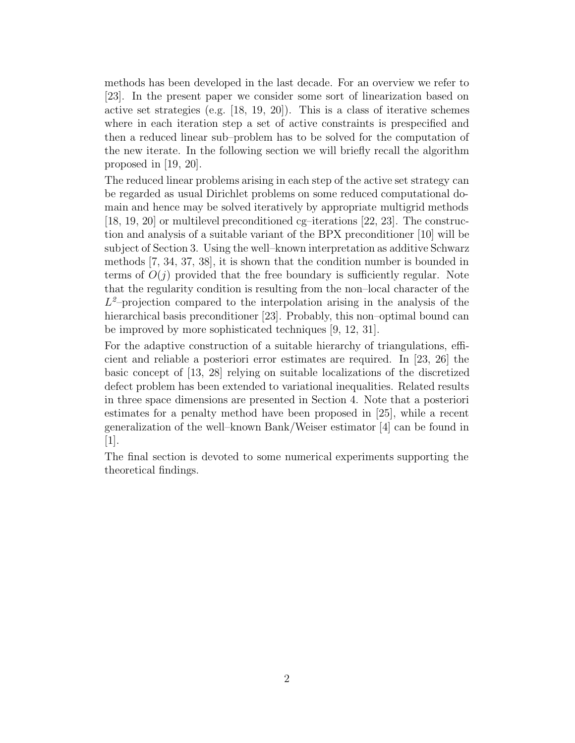methods has been developed in the last decade. For an overview we refer to [23]. In the present paper we consider some sort of linearization based on active set strategies (e.g. [18, 19, 20]). This is a class of iterative schemes where in each iteration step a set of active constraints is prespecified and then a reduced linear sub–problem has to be solved for the computation of the new iterate. In the following section we will briefly recall the algorithm proposed in [19, 20].

The reduced linear problems arising in each step of the active set strategy can be regarded as usual Dirichlet problems on some reduced computational domain and hence may be solved iteratively by appropriate multigrid methods [18, 19, 20] or multilevel preconditioned cg–iterations [22, 23]. The construction and analysis of a suitable variant of the BPX preconditioner [10] will be subject of Section 3. Using the well–known interpretation as additive Schwarz methods [7, 34, 37, 38], it is shown that the condition number is bounded in terms of  $O(j)$  provided that the free boundary is sufficiently regular. Note that the regularity condition is resulting from the non–local character of the  $L^2$ -projection compared to the interpolation arising in the analysis of the hierarchical basis preconditioner [23]. Probably, this non-optimal bound can be improved by more sophisticated techniques [9, 12, 31].

For the adaptive construction of a suitable hierarchy of triangulations, efficient and reliable a posteriori error estimates are required. In [23, 26] the basic concept of [13, 28] relying on suitable localizations of the discretized defect problem has been extended to variational inequalities. Related results in three space dimensions are presented in Section 4. Note that a posteriori estimates for a penalty method have been proposed in [25], while a recent generalization of the well–known Bank/Weiser estimator [4] can be found in  $|1|$ .

The final section is devoted to some numerical experiments supporting the theoretical findings.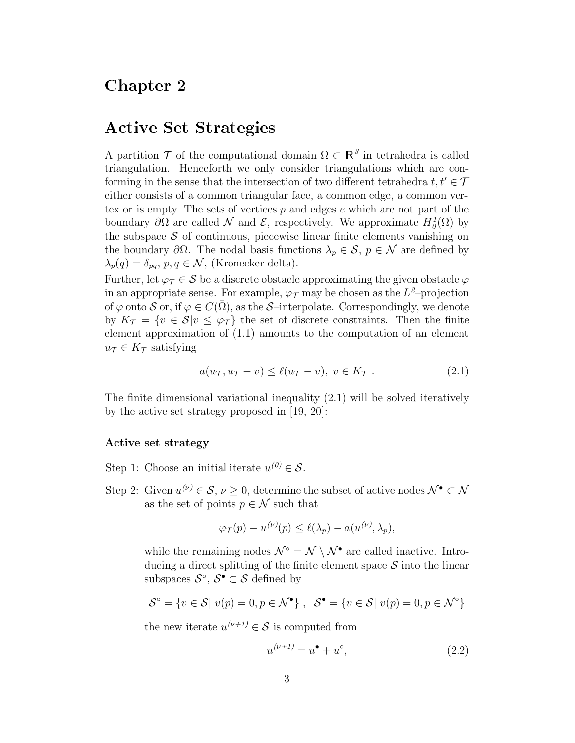#### Chapter 2

#### Active Set Strategies

A partition  $\mathcal T$  of the computational domain  $\Omega \subset \mathbb{R}^3$  in tetrahedra is called triangulation. Henceforth we only consider triangulations which are conforming in the sense that the intersection of two different tetrahedra  $t, t' \in \mathcal{T}$ either consists of a common triangular face, a common edge, a common vertex or is empty. The sets of vertices *p* and edges *e* which are not part of the boundary  $\partial\Omega$  are called  $\mathcal N$  and  $\mathcal E$ , respectively. We approximate  $H^1_0(\Omega)$  by the subspace  $\mathcal S$  of continuous, piecewise linear finite elements vanishing on the boundary  $\partial\Omega$ . The nodal basis functions  $\lambda_p \in \mathcal{S}, p \in \mathcal{N}$  are defined by  $\lambda_p(q) = \delta_{pq}, p, q \in \mathcal{N}$ , (Kronecker delta).

Further, let  $\varphi_{\mathcal{T}} \in \mathcal{S}$  be a discrete obstacle approximating the given obstacle  $\varphi$ in an appropriate sense. For example,  $\varphi_{\tau}$  may be chosen as the  $L^2$ -projection of  $\varphi$  onto S or, if  $\varphi \in C(\overline{\Omega})$ , as the S–interpolate. Correspondingly, we denote by  $K_{\mathcal{T}} = \{v \in \mathcal{S} | v \leq \varphi_{\mathcal{T}}\}\$  the set of discrete constraints. Then the finite element approximation of (1.1) amounts to the computation of an element  $u_{\mathcal{T}} \in K_{\mathcal{T}}$  satisfying

$$
a(u_{\mathcal{T}}, u_{\mathcal{T}} - v) \le \ell(u_{\mathcal{T}} - v), \ v \in K_{\mathcal{T}} . \tag{2.1}
$$

The finite dimensional variational inequality (2.1) will be solved iteratively by the active set strategy proposed in [19, 20]:

#### **Active set strategy**

Step 1: Choose an initial iterate  $u^{(0)} \in \mathcal{S}$ .

Step 2: Given  $u^{(\nu)} \in \mathcal{S}, \nu \geq 0$ , determine the subset of active nodes  $\mathcal{N}^{\bullet} \subset \mathcal{N}$ as the set of points  $p \in \mathcal{N}$  such that

$$
\varphi_T(p) - u^{(\nu)}(p) \le \ell(\lambda_p) - a(u^{(\nu)}, \lambda_p),
$$

while the remaining nodes  $\mathcal{N}^{\circ} = \mathcal{N} \setminus \mathcal{N}^{\bullet}$  are called inactive. Introducing a direct splitting of the finite element space  $S$  into the linear subspaces  $\mathcal{S}^{\circ}$ ,  $\mathcal{S}^{\bullet} \subset \mathcal{S}$  defined by

$$
\mathcal{S}^{\circ} = \{ v \in \mathcal{S} | v(p) = 0, p \in \mathcal{N}^{\bullet} \}, \quad \mathcal{S}^{\bullet} = \{ v \in \mathcal{S} | v(p) = 0, p \in \mathcal{N}^{\circ} \}
$$

the new iterate  $u^{(\nu+1)} \in \mathcal{S}$  is computed from

$$
u^{(\nu+1)} = u^{\bullet} + u^{\circ}, \tag{2.2}
$$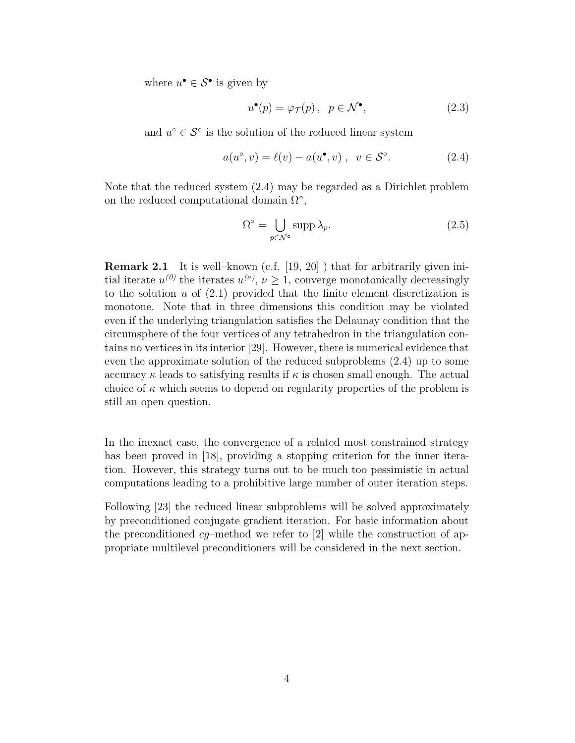where  $u^{\bullet} \in \mathcal{S}^{\bullet}$  is given by

$$
u^{\bullet}(p) = \varphi_{\mathcal{T}}(p), \ \ p \in \mathcal{N}^{\bullet}, \tag{2.3}
$$

and  $u^\circ \in \mathcal{S}^\circ$  is the solution of the reduced linear system

$$
a(u^{\circ}, v) = \ell(v) - a(u^{\bullet}, v) , \quad v \in \mathcal{S}^{\circ}.
$$
 (2.4)

Note that the reduced system (2.4) may be regarded as a Dirichlet problem on the reduced computational domain  $\Omega^{\circ}$ ,

$$
\Omega^{\circ} = \bigcup_{p \in \mathcal{N}^{\circ}} \operatorname{supp} \lambda_p. \tag{2.5}
$$

**Remark 2.1** It is well–known (c.f. [19, 20]) that for arbitrarily given initial iterate  $u^{(0)}$  the iterates  $u^{(\nu)}$ ,  $\nu \geq 1$ , converge monotonically decreasingly to the solution  $u$  of  $(2.1)$  provided that the finite element discretization is monotone. Note that in three dimensions this condition may be violated even if the underlying triangulation satisfies the Delaunay condition that the circumsphere of the four vertices of any tetrahedron in the triangulation contains no vertices in its interior [29]. However, there is numerical evidence that even the approximate solution of the reduced subproblems (2.4) up to some accuracy  $\kappa$  leads to satisfying results if  $\kappa$  is chosen small enough. The actual choice of  $\kappa$  which seems to depend on regularity properties of the problem is still an open question.

In the inexact case, the convergence of a related most constrained strategy has been proved in [18], providing a stopping criterion for the inner iteration. However, this strategy turns out to be much too pessimistic in actual computations leading to a prohibitive large number of outer iteration steps.

Following [23] the reduced linear subproblems will be solved approximately by preconditioned conjugate gradient iteration. For basic information about the preconditioned *cg*–method we refer to [2] while the construction of appropriate multilevel preconditioners will be considered in the next section.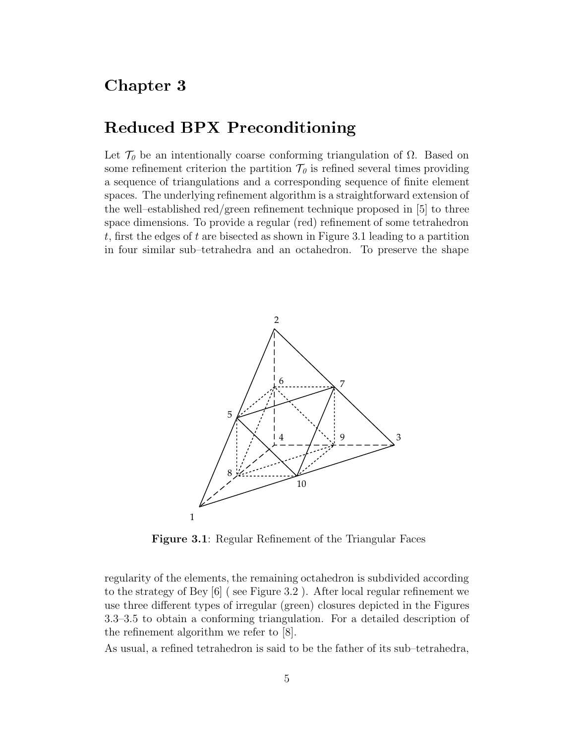#### Chapter 3

### Reduced BPX Preconditioning

Let  $\mathcal{T}_{0}$  be an intentionally coarse conforming triangulation of  $\Omega$ . Based on some refinement criterion the partition  $\mathcal{T}_{\theta}$  is refined several times providing a sequence of triangulations and a corresponding sequence of finite element spaces. The underlying refinement algorithm is a straightforward extension of the well–established red/green refinement technique proposed in [5] to three space dimensions. To provide a regular (red) refinement of some tetrahedron *t*, first the edges of *t* are bisected as shown in Figure 3.1 leading to a partition in four similar sub–tetrahedra and an octahedron. To preserve the shape



**Figure 3.1**: Regular Refinement of the Triangular Faces

regularity of the elements, the remaining octahedron is subdivided according to the strategy of Bey [6] ( see Figure 3.2 ). After local regular refinement we use three different types of irregular (green) closures depicted in the Figures 3.3–3.5 to obtain a conforming triangulation. For a detailed description of the refinement algorithm we refer to [8].

As usual, a refined tetrahedron is said to be the father of its sub–tetrahedra,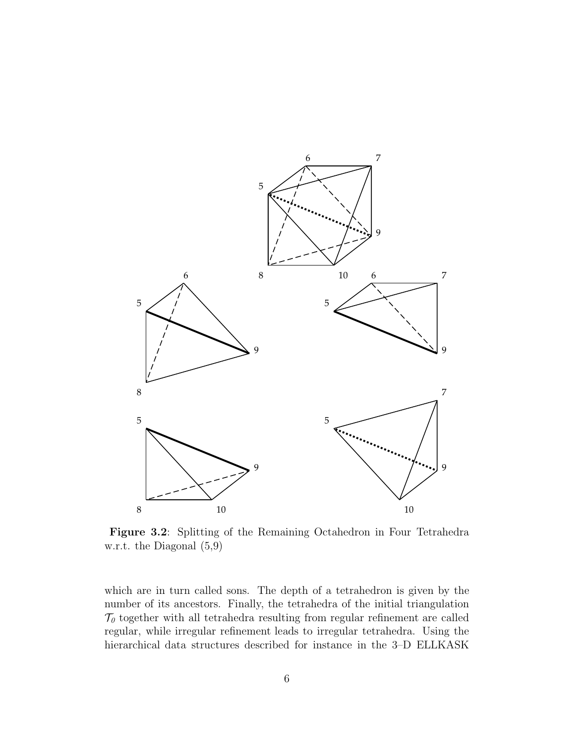

**Figure 3.2**: Splitting of the Remaining Octahedron in Four Tetrahedra w.r.t. the Diagonal (5,9)

which are in turn called sons. The depth of a tetrahedron is given by the number of its ancestors. Finally, the tetrahedra of the initial triangulation  $\mathcal{T}_{0}$  together with all tetrahedra resulting from regular refinement are called regular, while irregular refinement leads to irregular tetrahedra. Using the hierarchical data structures described for instance in the 3–D ELLKASK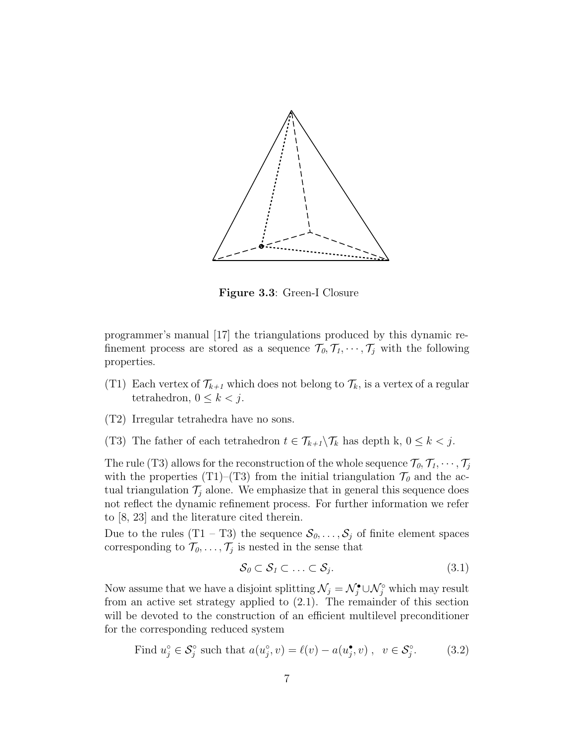

**Figure 3.3**: Green-I Closure

programmer's manual [17] the triangulations produced by this dynamic refinement process are stored as a sequence  $\mathcal{T}_0, \mathcal{T}_1, \cdots, \mathcal{T}_j$  with the following properties.

- (T1) Each vertex of  $\mathcal{T}_{k+1}$  which does not belong to  $\mathcal{T}_k$ , is a vertex of a regular tetrahedron,  $0 \leq k \leq j$ .
- (T2) Irregular tetrahedra have no sons.
- (T3) The father of each tetrahedron  $t \in \mathcal{T}_{k+1} \backslash \mathcal{T}_k$  has depth k,  $0 \leq k < j$ .

The rule (T3) allows for the reconstruction of the whole sequence  $\mathcal{T}_0, \mathcal{T}_1, \cdots, \mathcal{T}_j$ with the properties (T1)–(T3) from the initial triangulation  $\mathcal{T}_{0}$  and the actual triangulation  $\mathcal{T}_i$  alone. We emphasize that in general this sequence does not reflect the dynamic refinement process. For further information we refer to [8, 23] and the literature cited therein.

Due to the rules  $(T1 - T3)$  the sequence  $S_0, \ldots, S_j$  of finite element spaces corresponding to  $\mathcal{T}_0, \ldots, \mathcal{T}_j$  is nested in the sense that

$$
\mathcal{S}_0 \subset \mathcal{S}_1 \subset \ldots \subset \mathcal{S}_j. \tag{3.1}
$$

Now assume that we have a disjoint splitting  $\mathcal{N}_j = \mathcal{N}_j^{\bullet} \cup \mathcal{N}_j^{\circ}$  which may result from an active set strategy applied to (2.1). The remainder of this section will be devoted to the construction of an efficient multilevel preconditioner for the corresponding reduced system

Find 
$$
u_j^\circ \in \mathcal{S}_j^\circ
$$
 such that  $a(u_j^\circ, v) = \ell(v) - a(u_j^\bullet, v)$ ,  $v \in \mathcal{S}_j^\circ$ . (3.2)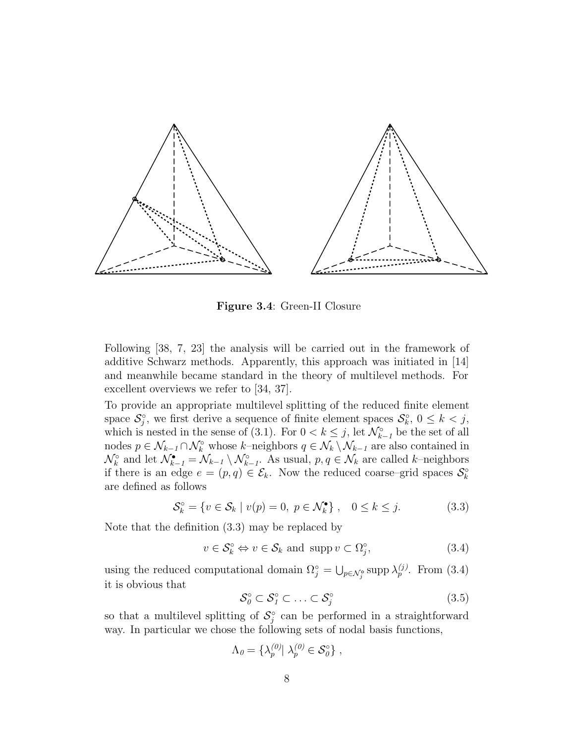

**Figure 3.4**: Green-II Closure

Following [38, 7, 23] the analysis will be carried out in the framework of additive Schwarz methods. Apparently, this approach was initiated in [14] and meanwhile became standard in the theory of multilevel methods. For excellent overviews we refer to [34, 37].

To provide an appropriate multilevel splitting of the reduced finite element space  $S_j^{\circ}$ , we first derive a sequence of finite element spaces  $S_k^{\circ}$ ,  $0 \leq k < j$ , which is nested in the sense of (3.1). For  $0 < k \leq j$ , let  $\mathcal{N}_{k-1}^{\circ}$  be the set of all nodes  $p \in \mathcal{N}_{k-1} \cap \mathcal{N}_k^{\circ}$  whose  $k$ -neighbors  $q \in \mathcal{N}_k \setminus \mathcal{N}_{k-1}$  are also contained in  $\mathcal{N}_k^{\circ}$  and let  $\mathcal{N}_{k-1}^{\bullet} = \mathcal{N}_{k-1} \setminus \mathcal{N}_{k-1}^{\circ}$ . As usual,  $p, q \in \mathcal{N}_k$  are called *k*-neighbors if there is an edge  $e = (p, q) \in \mathcal{E}_k$ . Now the reduced coarse–grid spaces  $\mathcal{S}_k^{\circ}$ are defined as follows

$$
\mathcal{S}_k^{\circ} = \{ v \in \mathcal{S}_k \mid v(p) = 0, \ p \in \mathcal{N}_k^{\bullet} \}, \quad 0 \le k \le j. \tag{3.3}
$$

Note that the definition (3.3) may be replaced by

$$
v \in \mathcal{S}_k^{\circ} \Leftrightarrow v \in \mathcal{S}_k \text{ and } \operatorname{supp} v \subset \Omega_j^{\circ},\tag{3.4}
$$

using the reduced computational domain  $\Omega_j^\circ = \bigcup_{p \in \mathcal{N}_j^\circ} \text{supp } \lambda_p^{(j)}$ . From (3.4) it is obvious that

$$
\mathcal{S}_0^\circ \subset \mathcal{S}_1^\circ \subset \ldots \subset \mathcal{S}_j^\circ \tag{3.5}
$$

so that a multilevel splitting of  $S_j^{\circ}$  can be performed in a straightforward way. In particular we chose the following sets of nodal basis functions,

$$
\Lambda_{0} = \{\lambda_{p}^{(0)} | \lambda_{p}^{(0)} \in \mathcal{S}_{0}^{\circ}\},\
$$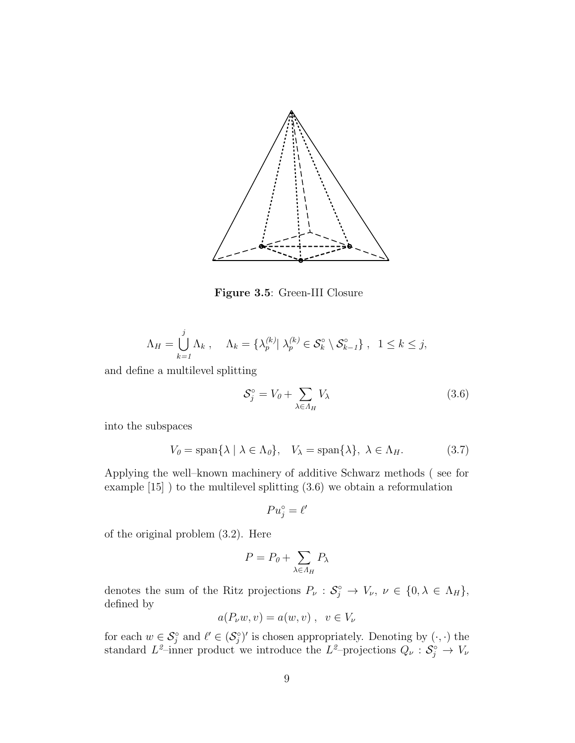

**Figure 3.5**: Green-III Closure

$$
\Lambda_H = \bigcup_{k=1}^j \Lambda_k , \quad \Lambda_k = \{ \lambda_p^{(k)} | \lambda_p^{(k)} \in \mathcal{S}_k^{\circ} \setminus \mathcal{S}_{k-1}^{\circ} \} , \quad 1 \leq k \leq j,
$$

and define a multilevel splitting

$$
\mathcal{S}_j^\circ = V_0 + \sum_{\lambda \in A_H} V_\lambda \tag{3.6}
$$

into the subspaces

$$
V_0 = \text{span}\{\lambda \mid \lambda \in \Lambda_0\}, \quad V_\lambda = \text{span}\{\lambda\}, \quad \lambda \in \Lambda_H. \tag{3.7}
$$

Applying the well–known machinery of additive Schwarz methods ( see for example [15] ) to the multilevel splitting (3.6) we obtain a reformulation

 $Pu_j^\circ = \ell'$ 

of the original problem (3.2). Here

$$
P = P_0 + \sum_{\lambda \in \Lambda_H} P_{\lambda}
$$

denotes the sum of the Ritz projections  $P_{\nu}: \mathcal{S}_{j}^{\circ} \to V_{\nu}, \nu \in \{0, \lambda \in \Lambda_{H}\},\$ defined by

$$
a(P_\nu w, v) = a(w, v) , v \in V_\nu
$$

for each  $w \in \mathcal{S}_j^{\circ}$  and  $\ell' \in (\mathcal{S}_j^{\circ})'$  is chosen appropriately. Denoting by  $(\cdot, \cdot)$  the standard  $L^2$ –inner product we introduce the  $L^2$ –projections  $Q_\nu: \mathcal{S}^\circ_j \to V_\nu$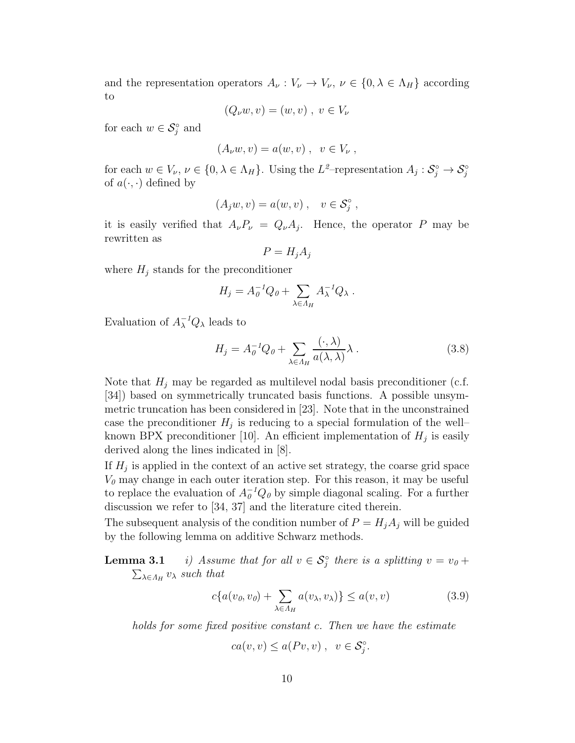and the representation operators  $A_{\nu}: V_{\nu} \to V_{\nu}, \nu \in \{0, \lambda \in \Lambda_H\}$  according to

$$
(Q_{\nu}w,v) = (w,v) , v \in V_{\nu}
$$

for each  $w \in \mathcal{S}_j^{\circ}$  and

$$
(A_{\nu}w,v) = a(w,v) , v \in V_{\nu} ,
$$

for each  $w \in V_{\nu}, \nu \in \{0, \lambda \in \Lambda_H\}$ . Using the  $L^2$ -representation  $A_j : S_j^{\circ} \to S_j^{\circ}$ of  $a(\cdot, \cdot)$  defined by

$$
(A_j w, v) = a(w, v) , v \in \mathcal{S}_j^{\circ} ,
$$

it is easily verified that  $A_{\nu}P_{\nu} = Q_{\nu}A_{j}$ . Hence, the operator *P* may be rewritten as

$$
P = H_j A_j
$$

where  $H_j$  stands for the preconditioner

$$
H_j = A_0^{-1} Q_0 + \sum_{\lambda \in A_H} A_{\lambda}^{-1} Q_{\lambda} .
$$

Evaluation of  $A_{\lambda}^{-1}Q_{\lambda}$  leads to

$$
H_j = A_0^{-1} Q_0 + \sum_{\lambda \in \Lambda_H} \frac{(\cdot, \lambda)}{a(\lambda, \lambda)} \lambda . \tag{3.8}
$$

Note that  $H_j$  may be regarded as multilevel nodal basis preconditioner (c.f. [34]) based on symmetrically truncated basis functions. A possible unsymmetric truncation has been considered in [23]. Note that in the unconstrained case the preconditioner  $H_j$  is reducing to a special formulation of the wellknown BPX preconditioner [10]. An efficient implementation of  $H_j$  is easily derived along the lines indicated in [8].

If  $H_i$  is applied in the context of an active set strategy, the coarse grid space  $V<sub>0</sub>$  may change in each outer iteration step. For this reason, it may be useful to replace the evaluation of  $A_{\theta}^{-1}Q_{\theta}$  by simple diagonal scaling. For a further discussion we refer to [34, 37] and the literature cited therein.

The subsequent analysis of the condition number of  $P = H_i A_j$  will be guided by the following lemma on additive Schwarz methods.

**Lemma 3.1** *i)* Assume that for all  $v \in S_j^{\circ}$  there is a splitting  $v = v_0 + v_1$  $\sum_{\lambda \in \Lambda_H} v_{\lambda}$  *such that* 

$$
c\{a(v_0, v_0) + \sum_{\lambda \in \Lambda_H} a(v_\lambda, v_\lambda)\} \le a(v, v)
$$
\n(3.9)

*holds for some fixed positive constant c. Then we have the estimate*

$$
ca(v, v) \le a(Pv, v) , v \in \mathcal{S}_j^{\circ}.
$$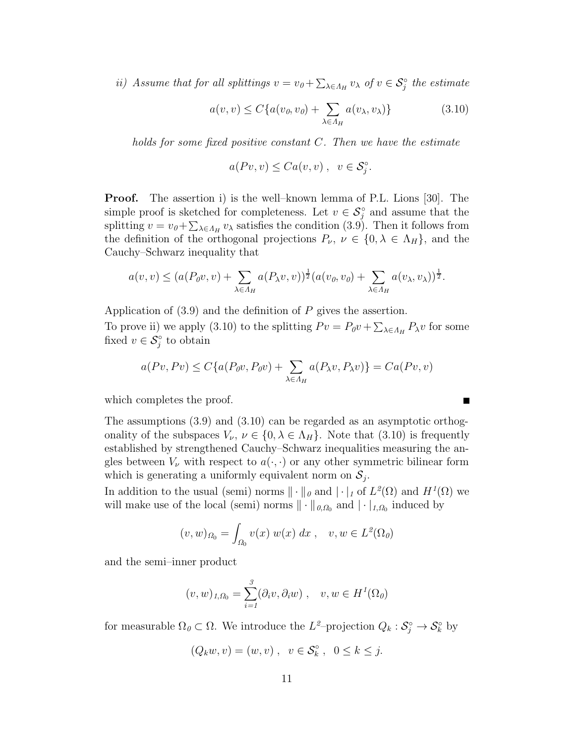*ii)* Assume that for all splittings  $v = v_0 + \sum_{\lambda \in \Lambda_H} v_\lambda$  of  $v \in S_j^{\circ}$  the estimate

$$
a(v, v) \le C\{a(v_0, v_0) + \sum_{\lambda \in \Lambda_H} a(v_\lambda, v_\lambda)\}\tag{3.10}
$$

*holds for some fixed positive constant C. Then we have the estimate*

$$
a(Pv, v) \leq Ca(v, v) , v \in \mathcal{S}_j^{\circ}.
$$

**Proof.** The assertion i) is the well–known lemma of P.L. Lions [30]. The simple proof is sketched for completeness. Let  $v \in \mathcal{S}_j^{\circ}$  and assume that the splitting  $v = v_0 + \sum_{\lambda \in \Lambda_H} v_\lambda$  satisfies the condition (3.9). Then it follows from the definition of the orthogonal projections  $P_\nu$ ,  $\nu \in \{0, \lambda \in \Lambda_H\}$ , and the Cauchy–Schwarz inequality that

$$
a(v,v) \le (a(P_0v,v) + \sum_{\lambda \in \Lambda_H} a(P_\lambda v,v))^{\frac{1}{2}} (a(v_0,v_0) + \sum_{\lambda \in \Lambda_H} a(v_\lambda,v_\lambda))^{\frac{1}{2}}.
$$

Application of (3.9) and the definition of *P* gives the assertion.

To prove ii) we apply (3.10) to the splitting  $P v = P_0 v + \sum_{\lambda \in \Lambda_H} P_\lambda v$  for some fixed  $v \in \mathcal{S}^{\circ}_j$  to obtain

$$
a(Pv, Pv) \le C\{a(P_0v, P_0v) + \sum_{\lambda \in \Lambda_H} a(P_\lambda v, P_\lambda v)\} = Ca(Pv, v)
$$

which completes the proof.

The assumptions (3.9) and (3.10) can be regarded as an asymptotic orthogonality of the subspaces  $V_{\nu}$ ,  $\nu \in \{0, \lambda \in \Lambda_H\}$ . Note that (3.10) is frequently established by strengthened Cauchy–Schwarz inequalities measuring the angles between  $V_\nu$  with respect to  $a(\cdot, \cdot)$  or any other symmetric bilinear form which is generating a uniformly equivalent norm on  $S_i$ .

In addition to the usual (semi) norms  $\|\cdot\|_{\theta}$  and  $|\cdot|_{I}$  of  $L^{2}(\Omega)$  and  $H^{1}(\Omega)$  we will make use of the local (semi) norms  $\|\cdot\|_{0,\Omega_0}$  and  $|\cdot|_{1,\Omega_0}$  induced by

$$
(v, w)_{\Omega_0} = \int_{\Omega_0} v(x) w(x) dx , \quad v, w \in L^2(\Omega_0)
$$

and the semi–inner product

$$
(v, w)_{1, \Omega_0} = \sum_{i=1}^3 (\partial_i v, \partial_i w) , \quad v, w \in H^1(\Omega_0)
$$

for measurable  $\Omega_{\theta} \subset \Omega$ . We introduce the  $L^2$ -projection  $Q_k : \mathcal{S}^{\circ}_j \to \mathcal{S}^{\circ}_k$  by

$$
(Q_k w, v) = (w, v), \quad v \in \mathcal{S}_k^{\circ} , \quad 0 \le k \le j.
$$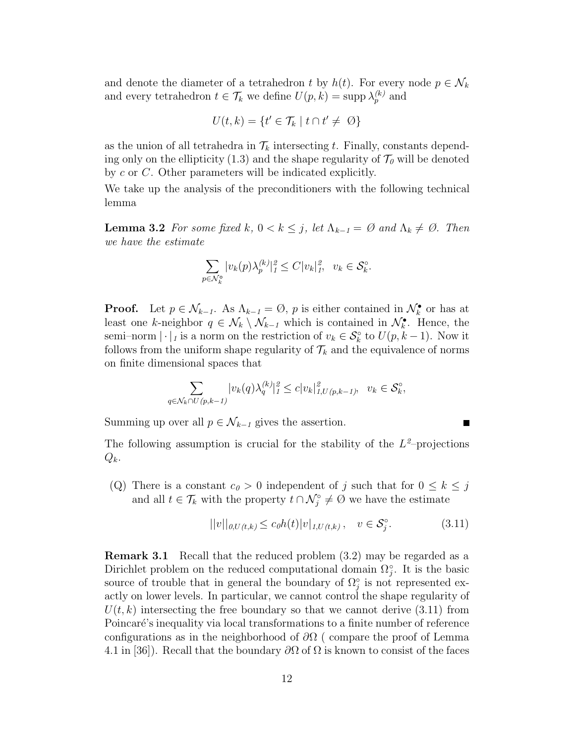and denote the diameter of a tetrahedron *t* by  $h(t)$ . For every node  $p \in \mathcal{N}_k$ and every tetrahedron  $t \in \mathcal{T}_k$  we define  $U(p, k) = \text{supp }\lambda_p^{(k)}$  and

$$
U(t,k) = \{t' \in \mathcal{T}_k \mid t \cap t' \neq \emptyset\}
$$

as the union of all tetrahedra in  $\mathcal{T}_k$  intersecting *t*. Finally, constants depending only on the ellipticity (1.3) and the shape regularity of  $\mathcal{T}_{0}$  will be denoted by *c* or *C*. Other parameters will be indicated explicitly.

We take up the analysis of the preconditioners with the following technical lemma

**Lemma 3.2** *For some fixed*  $k$ *,*  $0 < k \leq j$ *, let*  $\Lambda_{k-1} = \emptyset$  *and*  $\Lambda_k \neq \emptyset$ *. Then we have the estimate*

$$
\sum_{p \in \mathcal{N}_k^{\circ}} |v_k(p)\lambda_p^{(k)}|_1^2 \le C|v_k|_1^2, \ \ v_k \in \mathcal{S}_k^{\circ}.
$$

**Proof.** Let  $p \in \mathcal{N}_{k-1}$ . As  $\Lambda_{k-1} = \emptyset$ , *p* is either contained in  $\mathcal{N}_{k}^{\bullet}$  or has at least one *k*-neighbor  $q \in \mathcal{N}_k \setminus \mathcal{N}_{k-1}$  which is contained in  $\mathcal{N}_k^{\bullet}$ . Hence, the semi–norm  $|\cdot|_1$  is a norm on the restriction of  $v_k \in S_k^{\circ}$  to  $U(p, k-1)$ . Now it follows from the uniform shape regularity of  $\mathcal{T}_k$  and the equivalence of norms on finite dimensional spaces that

$$
\sum_{q \in \mathcal{N}_k \cap U(p,k-1)} |v_k(q)\lambda_q^{(k)}|_1^2 \le c|v_k|_{1,U(p,k-1)}^2, \quad v_k \in \mathcal{S}_k^{\circ},
$$

Summing up over all  $p \in \mathcal{N}_{k-1}$  gives the assertion.

The following assumption is crucial for the stability of the  $L^2$ -projections *Qk*.

(Q) There is a constant  $c_0 > 0$  independent of *j* such that for  $0 \leq k \leq j$ and all  $t \in \mathcal{T}_k$  with the property  $t \cap \mathcal{N}_j^{\circ} \neq \emptyset$  we have the estimate

$$
||v||_{0,U(t,k)} \le c_0 h(t) |v|_{1,U(t,k)}, \quad v \in \mathcal{S}_j^{\circ}.
$$
 (3.11)

**Remark 3.1** Recall that the reduced problem  $(3.2)$  may be regarded as a Dirichlet problem on the reduced computational domain  $\Omega_j^{\circ}$ . It is the basic source of trouble that in general the boundary of  $\Omega_j^{\circ}$  is not represented exactly on lower levels. In particular, we cannot control the shape regularity of  $U(t, k)$  intersecting the free boundary so that we cannot derive  $(3.11)$  from Poincaré's inequality via local transformations to a finite number of reference configurations as in the neighborhood of *∂*Ω ( compare the proof of Lemma 4.1 in [36]). Recall that the boundary *∂*Ω of Ω is known to consist of the faces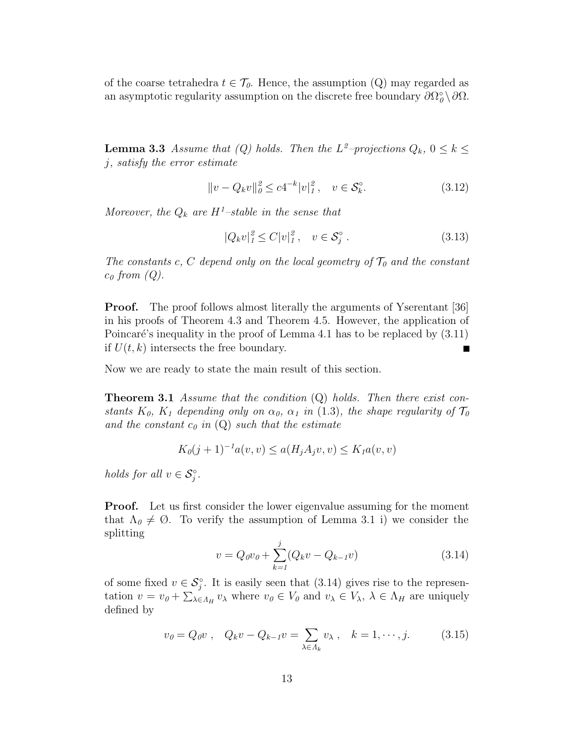of the coarse tetrahedra  $t \in \mathcal{T}_0$ . Hence, the assumption (Q) may regarded as an asymptotic regularity assumption on the discrete free boundary  $\partial\Omega^{\circ}_{\theta} \setminus \partial\Omega$ .

**Lemma 3.3** *Assume that* (*Q) holds. Then the*  $L^2$ *-projections*  $Q_k$ ,  $0 \le k \le$ *j, satisfy the error estimate*

$$
||v - Q_k v||_{\theta}^2 \le c4^{-k} |v|_1^2, \quad v \in \mathcal{S}_k^{\circ}.
$$
 (3.12)

*Moreover, the*  $Q_k$  *are*  $H^1$ *-stable in the sense that* 

$$
|Q_k v|_1^2 \le C |v|_1^2, \quad v \in \mathcal{S}_j^\circ. \tag{3.13}
$$

*The constants*  $c, C$  *depend only on the local geometry of*  $\mathcal{T}_0$  *and the constant c*<sup>0</sup> *from (Q).*

**Proof.** The proof follows almost literally the arguments of Yserentant [36] in his proofs of Theorem 4.3 and Theorem 4.5. However, the application of Poincaré's inequality in the proof of Lemma 4.1 has to be replaced by  $(3.11)$ if  $U(t, k)$  intersects the free boundary.

Now we are ready to state the main result of this section.

**Theorem 3.1** *Assume that the condition* (Q) *holds. Then there exist constants*  $K_0$ ,  $K_1$  depending only on  $\alpha_0$ ,  $\alpha_1$  in (1.3), the shape regularity of  $\mathcal{T}_0$ and the constant  $c_0$  *in*  $(Q)$  *such that the estimate* 

$$
K_0(j+1)^{-1}a(v,v) \le a(H_jA_jv,v) \le K_1a(v,v)
$$

*holds for all*  $v \in S_j^{\circ}$ .

**Proof.** Let us first consider the lower eigenvalue assuming for the moment that  $\Lambda_{\theta} \neq \emptyset$ . To verify the assumption of Lemma 3.1 i) we consider the splitting

$$
v = Q_0 v_0 + \sum_{k=1}^{j} (Q_k v - Q_{k-1} v)
$$
\n(3.14)

of some fixed  $v \in \mathcal{S}_j^{\circ}$ . It is easily seen that  $(3.14)$  gives rise to the representation  $v = v_0 + \sum_{\lambda \in \Lambda_H} v_\lambda$  where  $v_0 \in V_0$  and  $v_\lambda \in V_\lambda$ ,  $\lambda \in \Lambda_H$  are uniquely defined by

$$
v_0 = Q_0 v
$$
,  $Q_k v - Q_{k-1} v = \sum_{\lambda \in \Lambda_k} v_\lambda$ ,  $k = 1, \dots, j.$  (3.15)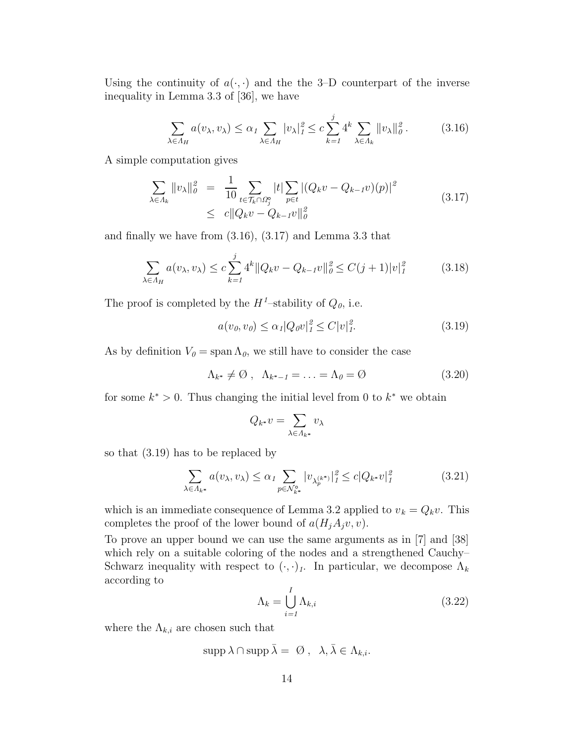Using the continuity of  $a(\cdot, \cdot)$  and the the 3-D counterpart of the inverse inequality in Lemma 3.3 of [36], we have

$$
\sum_{\lambda \in \Lambda_H} a(v_\lambda, v_\lambda) \le \alpha_1 \sum_{\lambda \in \Lambda_H} |v_\lambda|_1^2 \le c \sum_{k=1}^j 4^k \sum_{\lambda \in \Lambda_k} ||v_\lambda||_0^2. \tag{3.16}
$$

A simple computation gives

$$
\sum_{\lambda \in \Lambda_k} ||v_{\lambda}||_{\theta}^2 = \frac{1}{10} \sum_{t \in \mathcal{T}_k \cap \Omega_j^{\circ}} |t| \sum_{p \in t} |(Q_k v - Q_{k-1} v)(p)|^2
$$
\n
$$
\leq c ||Q_k v - Q_{k-1} v||_{\theta}^2
$$
\n(3.17)

and finally we have from (3.16), (3.17) and Lemma 3.3 that

$$
\sum_{\lambda \in \Lambda_H} a(v_{\lambda}, v_{\lambda}) \le c \sum_{k=1}^j 4^k \| Q_k v - Q_{k-1} v \|_{\theta}^2 \le C(j+1) |v|_1^2 \tag{3.18}
$$

The proof is completed by the  $H^1$ -stability of  $Q_0$ , i.e.

$$
a(v_0, v_0) \le \alpha_1 |Q_0 v|_1^2 \le C |v|_1^2. \tag{3.19}
$$

As by definition  $V_0 = \text{span }\Lambda_0$ , we still have to consider the case

$$
\Lambda_{k^*} \neq \emptyset \ , \ \Lambda_{k^*-1} = \ldots = \Lambda_0 = \emptyset \tag{3.20}
$$

for some  $k^* > 0$ . Thus changing the initial level from 0 to  $k^*$  we obtain

$$
Q_{k^*}v = \sum_{\lambda \in \Lambda_{k^*}} v_\lambda
$$

so that (3.19) has to be replaced by

$$
\sum_{\lambda \in \Lambda_{k^*}} a(v_{\lambda}, v_{\lambda}) \le \alpha_1 \sum_{p \in \mathcal{N}_{k^*}^\circ} |v_{\lambda_p^{(k^*)}}|_1^2 \le c|Q_{k^*}v|_1^2 \tag{3.21}
$$

which is an immediate consequence of Lemma 3.2 applied to  $v_k = Q_k v$ . This completes the proof of the lower bound of  $a(H_jA_jv, v)$ .

To prove an upper bound we can use the same arguments as in [7] and [38] which rely on a suitable coloring of the nodes and a strengthened Cauchy– Schwarz inequality with respect to  $(\cdot, \cdot)_1$ . In particular, we decompose  $\Lambda_k$ according to

$$
\Lambda_k = \bigcup_{i=1}^I \Lambda_{k,i} \tag{3.22}
$$

where the  $\Lambda_{k,i}$  are chosen such that

$$
\operatorname{supp}\lambda\cap\operatorname{supp}\bar{\lambda}=\emptyset\ ,\ \ \lambda,\bar{\lambda}\in\Lambda_{k,i}.
$$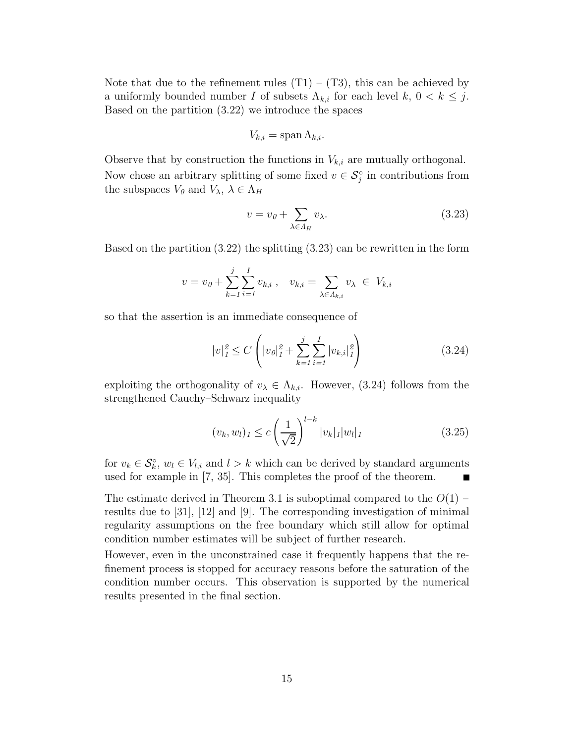Note that due to the refinement rules  $(T1) - (T3)$ , this can be achieved by a uniformly bounded number *I* of subsets  $\Lambda_{k,i}$  for each level  $k, 0 \lt k \leq j$ . Based on the partition (3.22) we introduce the spaces

$$
V_{k,i} = \operatorname{span} \Lambda_{k,i}.
$$

Observe that by construction the functions in  $V_{k,i}$  are mutually orthogonal. Now chose an arbitrary splitting of some fixed  $v \in \mathcal{S}_j^{\circ}$  in contributions from the subspaces  $V_0$  and  $V_\lambda$ ,  $\lambda \in \Lambda_H$ 

$$
v = v_{\theta} + \sum_{\lambda \in A_H} v_{\lambda}.\tag{3.23}
$$

Based on the partition (3.22) the splitting (3.23) can be rewritten in the form

$$
v = v_0 + \sum_{k=1}^{j} \sum_{i=1}^{I} v_{k,i}, \quad v_{k,i} = \sum_{\lambda \in \Lambda_{k,i}} v_{\lambda} \in V_{k,i}
$$

so that the assertion is an immediate consequence of

$$
|v|_1^2 \le C \left( |v_0|_1^2 + \sum_{k=1}^j \sum_{i=1}^I |v_{k,i}|_1^2 \right) \tag{3.24}
$$

exploiting the orthogonality of  $v_{\lambda} \in \Lambda_{k,i}$ . However, (3.24) follows from the strengthened Cauchy–Schwarz inequality

$$
(v_k, w_l)_1 \le c \left(\frac{1}{\sqrt{2}}\right)^{l-k} |v_k|_1 |w_l|_1 \tag{3.25}
$$

for  $v_k \in \mathcal{S}_k^{\circ}$ ,  $w_l \in V_{l,i}$  and  $l > k$  which can be derived by standard arguments used for example in [7, 35]. This completes the proof of the theorem.

The estimate derived in Theorem 3.1 is suboptimal compared to the  $O(1)$  – results due to [31], [12] and [9]. The corresponding investigation of minimal regularity assumptions on the free boundary which still allow for optimal condition number estimates will be subject of further research.

However, even in the unconstrained case it frequently happens that the refinement process is stopped for accuracy reasons before the saturation of the condition number occurs. This observation is supported by the numerical results presented in the final section.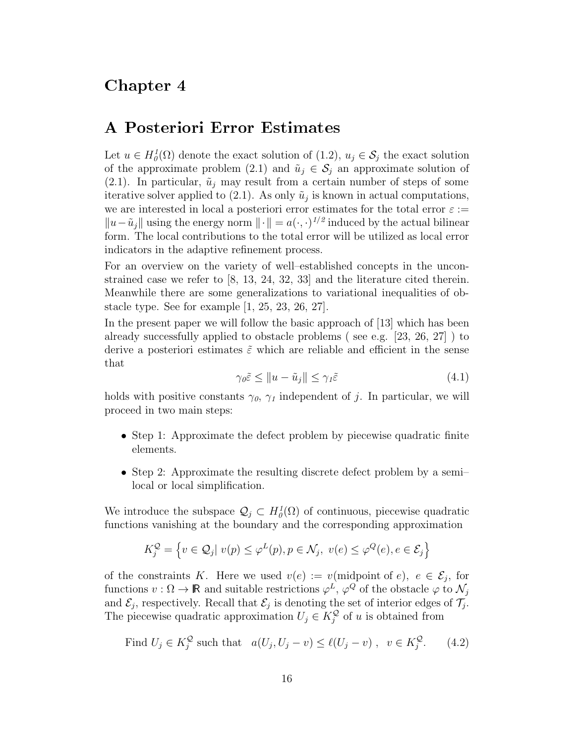#### Chapter 4

#### A Posteriori Error Estimates

Let  $u \in H_0^1(\Omega)$  denote the exact solution of  $(1.2)$ ,  $u_j \in S_j$  the exact solution of the approximate problem (2.1) and  $\tilde{u}_j \in \mathcal{S}_j$  an approximate solution of  $(2.1)$ . In particular,  $\tilde{u}_j$  may result from a certain number of steps of some iterative solver applied to (2.1). As only  $\tilde{u}_j$  is known in actual computations, we are interested in local a posteriori error estimates for the total error  $\varepsilon :=$  $||u - \tilde{u}_j||$  using the energy norm  $||\cdot|| = a(\cdot, \cdot)^{1/2}$  induced by the actual bilinear form. The local contributions to the total error will be utilized as local error indicators in the adaptive refinement process.

For an overview on the variety of well–established concepts in the unconstrained case we refer to [8, 13, 24, 32, 33] and the literature cited therein. Meanwhile there are some generalizations to variational inequalities of obstacle type. See for example [1, 25, 23, 26, 27].

In the present paper we will follow the basic approach of [13] which has been already successfully applied to obstacle problems ( see e.g. [23, 26, 27] ) to derive a posteriori estimates  $\tilde{\varepsilon}$  which are reliable and efficient in the sense that

$$
\gamma_{0}\tilde{\varepsilon} \le \|u - \tilde{u}_{j}\| \le \gamma_{1}\tilde{\varepsilon} \tag{4.1}
$$

holds with positive constants  $\gamma_0$ ,  $\gamma_1$  independent of *j*. In particular, we will proceed in two main steps:

- Step 1: Approximate the defect problem by piecewise quadratic finite elements.
- Step 2: Approximate the resulting discrete defect problem by a semilocal or local simplification.

We introduce the subspace  $\mathcal{Q}_j \subset H_0^1(\Omega)$  of continuous, piecewise quadratic functions vanishing at the boundary and the corresponding approximation

$$
K_j^{\mathcal{Q}} = \left\{ v \in \mathcal{Q}_j \mid v(p) \le \varphi^L(p), p \in \mathcal{N}_j, \ v(e) \le \varphi^{\mathcal{Q}}(e), e \in \mathcal{E}_j \right\}
$$

of the constraints *K*. Here we used  $v(e) := v(\text{midpoint of } e), e \in \mathcal{E}_i$ , for functions  $v : \Omega \to \mathbb{R}$  and suitable restrictions  $\varphi^L$ ,  $\varphi^Q$  of the obstacle  $\varphi$  to  $\mathcal{N}_j$ and  $\mathcal{E}_j$ , respectively. Recall that  $\mathcal{E}_j$  is denoting the set of interior edges of  $\mathcal{T}_j$ . The piecewise quadratic approximation  $U_j \in K_j^{\mathcal{Q}}$  of *u* is obtained from

Find 
$$
U_j \in K_j^{\mathcal{Q}}
$$
 such that  $a(U_j, U_j - v) \le \ell(U_j - v)$ ,  $v \in K_j^{\mathcal{Q}}$ . (4.2)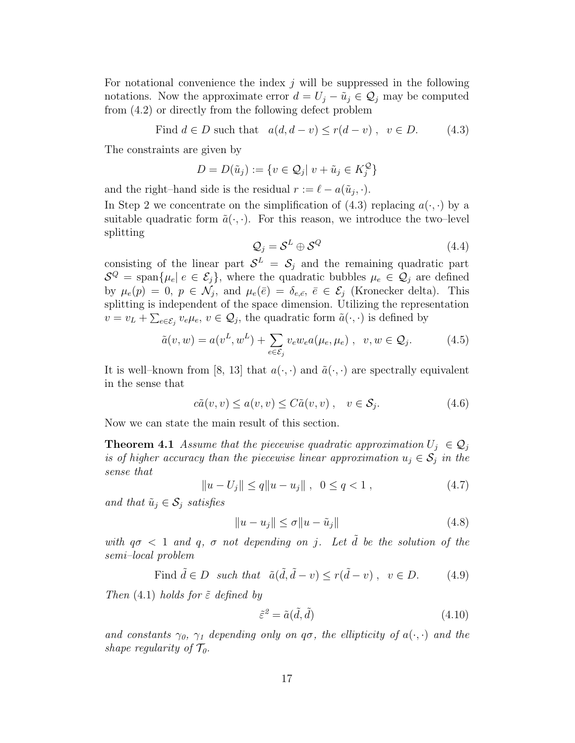For notational convenience the index *j* will be suppressed in the following notations. Now the approximate error  $d = U_j - \tilde{u}_j \in \mathcal{Q}_j$  may be computed from (4.2) or directly from the following defect problem

Find 
$$
d \in D
$$
 such that  $a(d, d - v) \le r(d - v)$ ,  $v \in D$ . (4.3)

The constraints are given by

$$
D = D(\tilde{u}_j) := \{ v \in \mathcal{Q}_j | v + \tilde{u}_j \in K_j^{\mathcal{Q}} \}
$$

and the right–hand side is the residual  $r := \ell - a(\tilde{u}_j, \cdot)$ .

In Step 2 we concentrate on the simplification of (4.3) replacing  $a(\cdot, \cdot)$  by a suitable quadratic form  $\tilde{a}(\cdot, \cdot)$ . For this reason, we introduce the two-level splitting

$$
\mathcal{Q}_j = \mathcal{S}^L \oplus \mathcal{S}^Q \tag{4.4}
$$

consisting of the linear part  $S^L = S_j$  and the remaining quadratic part  $S^Q = \text{span}\{\mu_e | e \in \mathcal{E}_j\}$ , where the quadratic bubbles  $\mu_e \in \mathcal{Q}_j$  are defined by  $\mu_e(p) = 0$ ,  $p \in \mathcal{N}_j$ , and  $\mu_e(\bar{e}) = \delta_{e,\bar{e}}, \bar{e} \in \mathcal{E}_j$  (Kronecker delta). This splitting is independent of the space dimension. Utilizing the representation  $v = v_L + \sum_{e \in \mathcal{E}_j} v_e \mu_e, v \in \mathcal{Q}_j$ , the quadratic form  $\tilde{a}(\cdot, \cdot)$  is defined by

$$
\tilde{a}(v, w) = a(v^L, w^L) + \sum_{e \in \mathcal{E}_j} v_e w_e a(\mu_e, \mu_e) , \quad v, w \in \mathcal{Q}_j.
$$
 (4.5)

It is well–known from [8, 13] that  $a(\cdot, \cdot)$  and  $\tilde{a}(\cdot, \cdot)$  are spectrally equivalent in the sense that

$$
c\tilde{a}(v,v) \le a(v,v) \le C\tilde{a}(v,v) , \quad v \in \mathcal{S}_j.
$$
 (4.6)

Now we can state the main result of this section.

**Theorem 4.1** *Assume that the piecewise quadratic approximation*  $U_j \in \mathcal{Q}_j$ *is of higher accuracy than the piecewise linear approximation*  $u_j \in S_j$  *in the sense that*

$$
||u - U_j|| \le q ||u - u_j||, \quad 0 \le q < 1,
$$
\n(4.7)

*and that*  $\tilde{u}_j \in \mathcal{S}_j$  *satisfies* 

$$
||u - u_j|| \le \sigma ||u - \tilde{u}_j|| \tag{4.8}
$$

*with*  $q\sigma < 1$  *and*  $q$ ,  $\sigma$  *not depending on j*. Let  $\tilde{d}$  be the solution of the *semi–local problem*

Find  $\tilde{d} \in D$  *such that*  $\tilde{a}(\tilde{d}, \tilde{d} - v) \leq r(\tilde{d} - v)$ ,  $v \in D$ . (4.9)

*Then* (4.1) *holds for ε*˜ *defined by*

$$
\tilde{\varepsilon}^2 = \tilde{a}(\tilde{d}, \tilde{d})\tag{4.10}
$$

*and constants*  $\gamma_0$ ,  $\gamma_1$  *depending only on*  $q\sigma$ *, the ellipticity of*  $a(\cdot, \cdot)$  *and the shape regularity of*  $\mathcal{T}_0$ *.*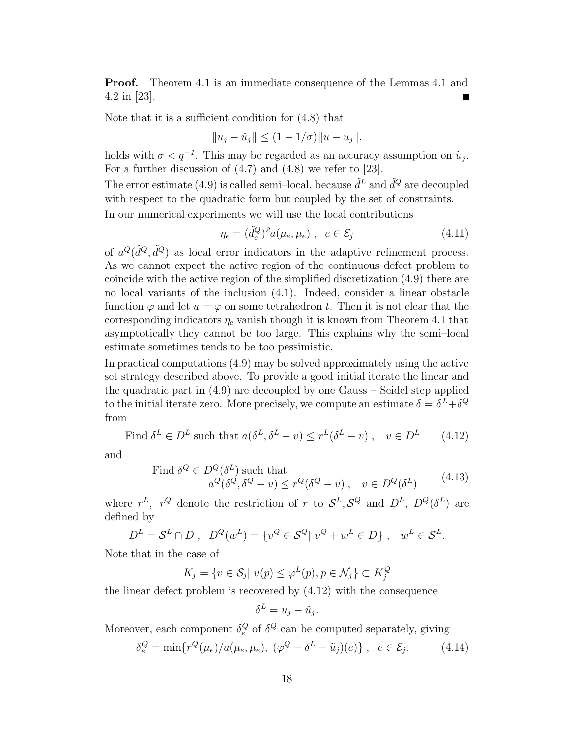**Proof.** Theorem 4.1 is an immediate consequence of the Lemmas 4.1 and 4.2 in [23].

Note that it is a sufficient condition for (4.8) that

$$
||u_j - \tilde{u}_j|| \le (1 - 1/\sigma) ||u - u_j||.
$$

holds with  $\sigma < q^{-1}$ . This may be regarded as an accuracy assumption on  $\tilde{u}_j$ . For a further discussion of (4.7) and (4.8) we refer to [23].

The error estimate (4.9) is called semi-local, because  $\tilde{d}^L$  and  $\tilde{d}^Q$  are decoupled with respect to the quadratic form but coupled by the set of constraints.

In our numerical experiments we will use the local contributions

$$
\eta_e = (\tilde{d}_e^Q)^2 a(\mu_e, \mu_e) , e \in \mathcal{E}_j \tag{4.11}
$$

of  $a^Q(\tilde{d}^Q, \tilde{d}^Q)$  as local error indicators in the adaptive refinement process. As we cannot expect the active region of the continuous defect problem to coincide with the active region of the simplified discretization (4.9) there are no local variants of the inclusion (4.1). Indeed, consider a linear obstacle function  $\varphi$  and let  $u = \varphi$  on some tetrahedron t. Then it is not clear that the corresponding indicators *η<sup>e</sup>* vanish though it is known from Theorem 4.1 that asymptotically they cannot be too large. This explains why the semi–local estimate sometimes tends to be too pessimistic.

In practical computations (4.9) may be solved approximately using the active set strategy described above. To provide a good initial iterate the linear and the quadratic part in (4.9) are decoupled by one Gauss – Seidel step applied to the initial iterate zero. More precisely, we compute an estimate  $\delta = \delta^L + \delta^Q$ from

Find 
$$
\delta^L \in D^L
$$
 such that  $a(\delta^L, \delta^L - v) \le r^L(\delta^L - v)$ ,  $v \in D^L$  (4.12)

and

Find 
$$
\delta^{Q} \in D^{Q}(\delta^{L})
$$
 such that  
\n $a^{Q}(\delta^{Q}, \delta^{Q} - v) \leq r^{Q}(\delta^{Q} - v), \quad v \in D^{Q}(\delta^{L})$  (4.13)

where  $r^L$ ,  $r^Q$  denote the restriction of *r* to  $S^L$ ,  $S^Q$  and  $D^L$ ,  $D^Q(\delta^L)$  are defined by

$$
D^{L} = \mathcal{S}^{L} \cap D , D^{Q}(w^{L}) = \{v^{Q} \in \mathcal{S}^{Q} | v^{Q} + w^{L} \in D\} , w^{L} \in \mathcal{S}^{L}.
$$

Note that in the case of

$$
K_j = \{ v \in \mathcal{S}_j \mid v(p) \le \varphi^L(p), p \in \mathcal{N}_j \} \subset K_j^{\mathcal{Q}}
$$

the linear defect problem is recovered by (4.12) with the consequence

$$
\delta^L = u_j - \tilde{u}_j.
$$

Moreover, each component  $\delta_e^Q$  of  $\delta^Q$  can be computed separately, giving

$$
\delta_e^Q = \min \{ r^Q(\mu_e) / a(\mu_e, \mu_e), \ (\varphi^Q - \delta^L - \tilde{u}_j)(e) \} \ , \ e \in \mathcal{E}_j. \tag{4.14}
$$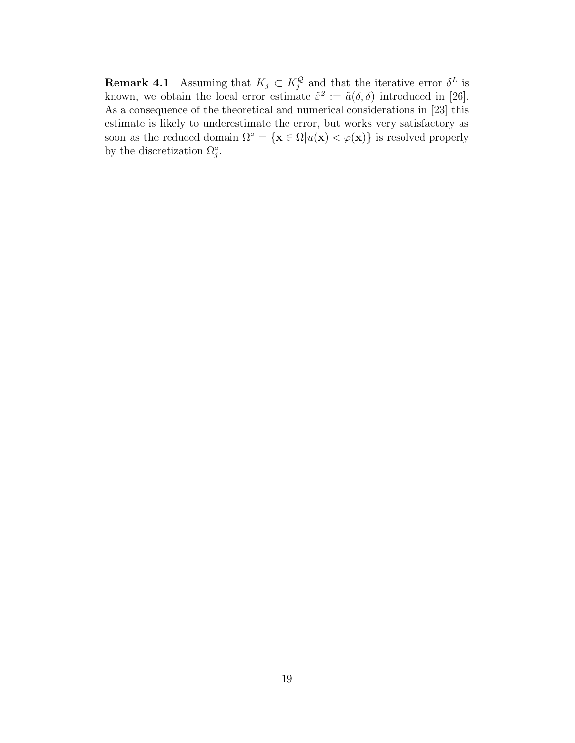**Remark 4.1** Assuming that  $K_j \subset K_j^{\mathcal{Q}}$  and that the iterative error  $\delta^L$  is known, we obtain the local error estimate  $\tilde{\varepsilon}^2 := \tilde{a}(\delta, \delta)$  introduced in [26]. As a consequence of the theoretical and numerical considerations in [23] this estimate is likely to underestimate the error, but works very satisfactory as soon as the reduced domain  $\Omega^{\circ} = {\mathbf{x} \in \Omega | u(\mathbf{x}) < \varphi(\mathbf{x})\}$  is resolved properly by the discretization  $\Omega_j^{\circ}$ .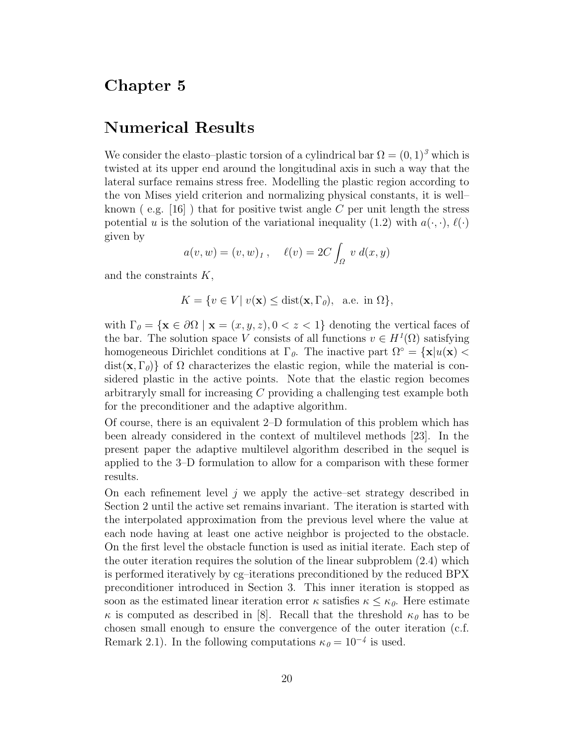#### Chapter 5

#### Numerical Results

We consider the elasto–plastic torsion of a cylindrical bar  $\Omega = (0, 1)^3$  which is twisted at its upper end around the longitudinal axis in such a way that the lateral surface remains stress free. Modelling the plastic region according to the von Mises yield criterion and normalizing physical constants, it is well– known ( e.g. [16] ) that for positive twist angle *C* per unit length the stress potential *u* is the solution of the variational inequality  $(1.2)$  with  $a(\cdot, \cdot)$ ,  $\ell(\cdot)$ given by

$$
a(v, w) = (v, w)_1
$$
,  $\ell(v) = 2C \int_{\Omega} v d(x, y)$ 

and the constraints *K*,

$$
K = \{ v \in V | v(\mathbf{x}) \le \text{dist}(\mathbf{x}, \Gamma_0), \text{ a.e. in } \Omega \},
$$

with  $\Gamma_{\theta} = {\mathbf{x} \in \partial\Omega \mid \mathbf{x} = (x, y, z), 0 < z < 1}$  denoting the vertical faces of the bar. The solution space *V* consists of all functions  $v \in H^1(\Omega)$  satisfying homogeneous Dirichlet conditions at  $\Gamma_{\theta}$ . The inactive part  $\Omega^{\circ} = {\mathbf{x}} |u(\mathbf{x})|$ dist( $(\mathbf{x}, \Gamma_{\theta})$ ) of  $\Omega$  characterizes the elastic region, while the material is considered plastic in the active points. Note that the elastic region becomes arbitraryly small for increasing *C* providing a challenging test example both for the preconditioner and the adaptive algorithm.

Of course, there is an equivalent 2–D formulation of this problem which has been already considered in the context of multilevel methods [23]. In the present paper the adaptive multilevel algorithm described in the sequel is applied to the 3–D formulation to allow for a comparison with these former results.

On each refinement level *j* we apply the active–set strategy described in Section 2 until the active set remains invariant. The iteration is started with the interpolated approximation from the previous level where the value at each node having at least one active neighbor is projected to the obstacle. On the first level the obstacle function is used as initial iterate. Each step of the outer iteration requires the solution of the linear subproblem (2.4) which is performed iteratively by cg–iterations preconditioned by the reduced BPX preconditioner introduced in Section 3. This inner iteration is stopped as soon as the estimated linear iteration error  $\kappa$  satisfies  $\kappa \leq \kappa_0$ . Here estimate *κ* is computed as described in [8]. Recall that the threshold  $\kappa_{\theta}$  has to be chosen small enough to ensure the convergence of the outer iteration (c.f. Remark 2.1). In the following computations  $\kappa_0 = 10^{-4}$  is used.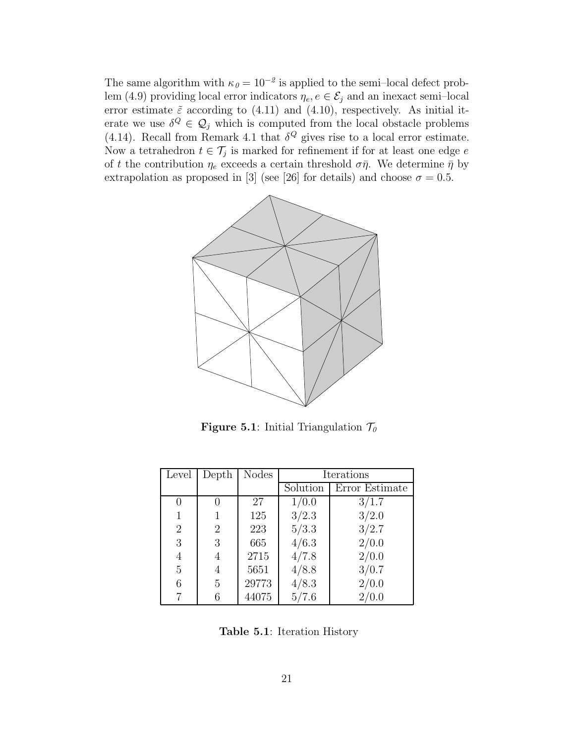The same algorithm with  $\kappa_0 = 10^{-2}$  is applied to the semi–local defect problem (4.9) providing local error indicators  $\eta_e, e \in \mathcal{E}_j$  and an inexact semi-local error estimate  $\tilde{\varepsilon}$  according to (4.11) and (4.10), respectively. As initial iterate we use  $\delta^Q \in \mathcal{Q}_j$  which is computed from the local obstacle problems (4.14). Recall from Remark 4.1 that  $\delta^Q$  gives rise to a local error estimate. Now a tetrahedron  $t \in \mathcal{T}_j$  is marked for refinement if for at least one edge *e* of *t* the contribution  $\eta_e$  exceeds a certain threshold  $\sigma\bar{\eta}$ . We determine  $\bar{\eta}$  by extrapolation as proposed in [3] (see [26] for details) and choose  $\sigma = 0.5$ .



**Figure 5.1**: Initial Triangulation  $\mathcal{T}_{0}$ 

| Level          | Depth          | <b>Nodes</b> | Iterations |                |
|----------------|----------------|--------------|------------|----------------|
|                |                |              | Solution   | Error Estimate |
| 0              |                | 27           | 1/0.0      | 3/1.7          |
|                |                | 125          | 3/2.3      | 3/2.0          |
| $\overline{2}$ | $\overline{2}$ | 223          | 5/3.3      | 3/2.7          |
| 3              | 3              | 665          | 4/6.3      | 2/0.0          |
| 4              | 4              | 2715         | 4/7.8      | 2/0.0          |
| 5              | 4              | 5651         | 4/8.8      | 3/0.7          |
| 6              | 5              | 29773        | 4/8.3      | 2/0.0          |
| 7              |                | 44075        | 5/7.6      | 2/0.0          |

**Table 5.1**: Iteration History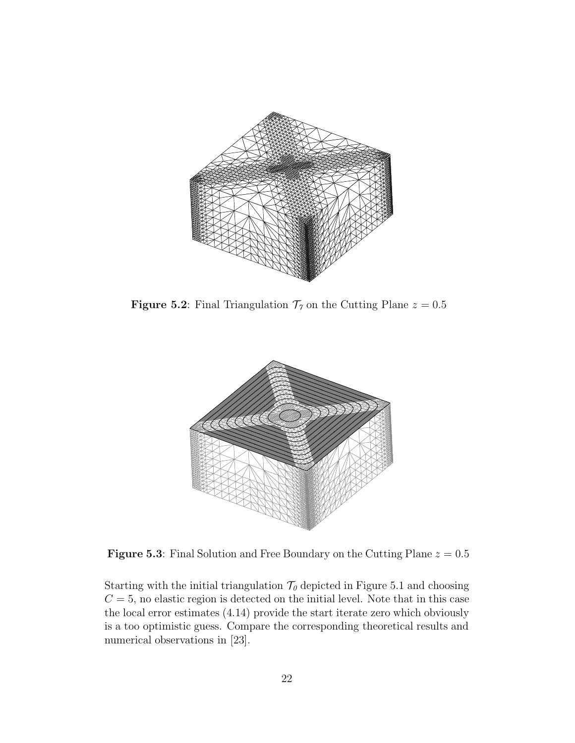

**Figure 5.2**: Final Triangulation  $\mathcal{T}_7$  on the Cutting Plane  $z = 0.5$ 



**Figure 5.3**: Final Solution and Free Boundary on the Cutting Plane  $z = 0.5$ 

Starting with the initial triangulation  $\mathcal{T}_{0}$  depicted in Figure 5.1 and choosing  $C = 5$ , no elastic region is detected on the initial level. Note that in this case the local error estimates (4.14) provide the start iterate zero which obviously is a too optimistic guess. Compare the corresponding theoretical results and numerical observations in [23].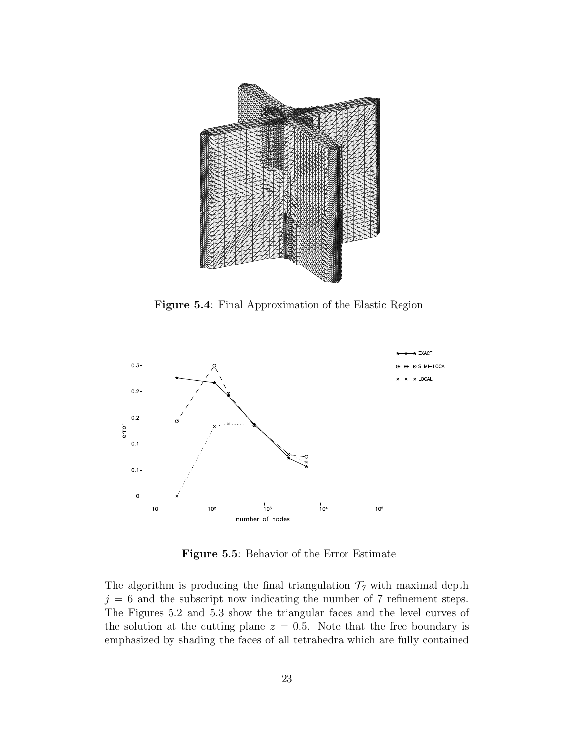

**Figure 5.4**: Final Approximation of the Elastic Region



**Figure 5.5**: Behavior of the Error Estimate

The algorithm is producing the final triangulation  $\mathcal{T}_7$  with maximal depth  $j = 6$  and the subscript now indicating the number of 7 refinement steps. The Figures 5.2 and 5.3 show the triangular faces and the level curves of the solution at the cutting plane  $z = 0.5$ . Note that the free boundary is emphasized by shading the faces of all tetrahedra which are fully contained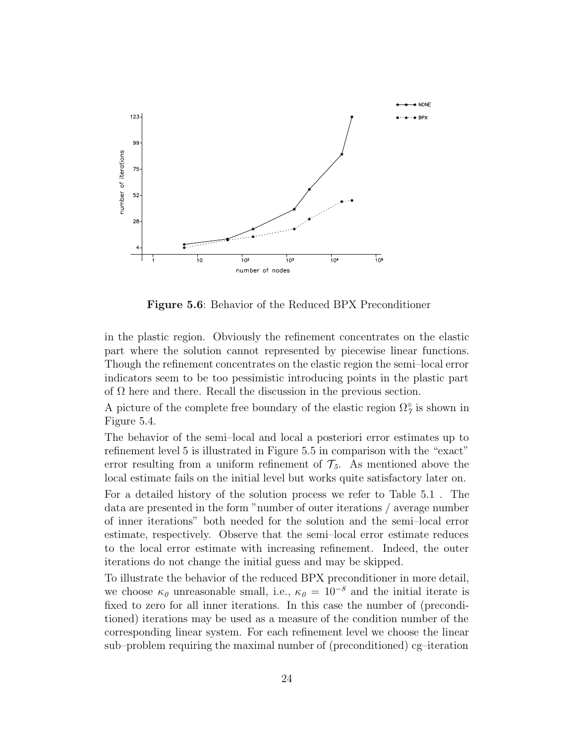

**Figure 5.6**: Behavior of the Reduced BPX Preconditioner

in the plastic region. Obviously the refinement concentrates on the elastic part where the solution cannot represented by piecewise linear functions. Though the refinement concentrates on the elastic region the semi–local error indicators seem to be too pessimistic introducing points in the plastic part of  $\Omega$  here and there. Recall the discussion in the previous section.

A picture of the complete free boundary of the elastic region  $\Omega^{\circ}_{7}$  is shown in Figure 5.4.

The behavior of the semi–local and local a posteriori error estimates up to refinement level 5 is illustrated in Figure 5.5 in comparison with the "exact" error resulting from a uniform refinement of  $\mathcal{T}_5$ . As mentioned above the local estimate fails on the initial level but works quite satisfactory later on.

For a detailed history of the solution process we refer to Table 5.1 . The data are presented in the form "number of outer iterations / average number of inner iterations" both needed for the solution and the semi–local error estimate, respectively. Observe that the semi–local error estimate reduces to the local error estimate with increasing refinement. Indeed, the outer iterations do not change the initial guess and may be skipped.

To illustrate the behavior of the reduced BPX preconditioner in more detail, we choose  $\kappa_0$  unreasonable small, i.e.,  $\kappa_0 = 10^{-8}$  and the initial iterate is fixed to zero for all inner iterations. In this case the number of (preconditioned) iterations may be used as a measure of the condition number of the corresponding linear system. For each refinement level we choose the linear sub–problem requiring the maximal number of (preconditioned) cg–iteration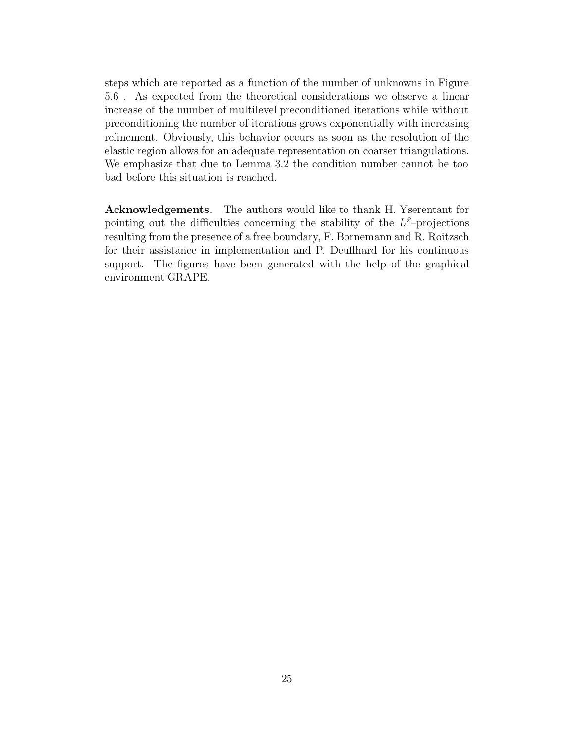steps which are reported as a function of the number of unknowns in Figure 5.6 . As expected from the theoretical considerations we observe a linear increase of the number of multilevel preconditioned iterations while without preconditioning the number of iterations grows exponentially with increasing refinement. Obviously, this behavior occurs as soon as the resolution of the elastic region allows for an adequate representation on coarser triangulations. We emphasize that due to Lemma 3.2 the condition number cannot be too bad before this situation is reached.

**Acknowledgements.** The authors would like to thank H. Yserentant for pointing out the difficulties concerning the stability of the  $L^2$ -projections resulting from the presence of a free boundary, F. Bornemann and R. Roitzsch for their assistance in implementation and P. Deuflhard for his continuous support. The figures have been generated with the help of the graphical environment GRAPE.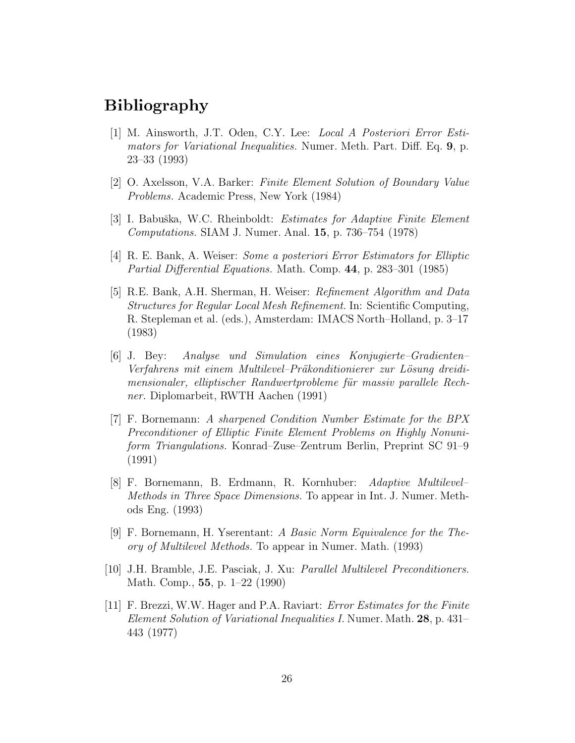### Bibliography

- [1] M. Ainsworth, J.T. Oden, C.Y. Lee: *Local A Posteriori Error Estimators for Variational Inequalities.* Numer. Meth. Part. Diff. Eq. **9**, p. 23–33 (1993)
- [2] O. Axelsson, V.A. Barker: *Finite Element Solution of Boundary Value Problems.* Academic Press, New York (1984)
- [3] I. Babuˇska, W.C. Rheinboldt: *Estimates for Adaptive Finite Element Computations.* SIAM J. Numer. Anal. **15**, p. 736–754 (1978)
- [4] R. E. Bank, A. Weiser: *Some a posteriori Error Estimators for Elliptic Partial Differential Equations.* Math. Comp. **44**, p. 283–301 (1985)
- [5] R.E. Bank, A.H. Sherman, H. Weiser: *Refinement Algorithm and Data Structures for Regular Local Mesh Refinement.* In: Scientific Computing, R. Stepleman et al. (eds.), Amsterdam: IMACS North–Holland, p. 3–17 (1983)
- [6] J. Bey: *Analyse und Simulation eines Konjugierte–Gradienten– Verfahrens mit einem Multilevel–Präkonditionierer zur Lösung dreidimensionaler, elliptischer Randwertprobleme für massiv parallele Rechner.* Diplomarbeit, RWTH Aachen (1991)
- [7] F. Bornemann: *A sharpened Condition Number Estimate for the BPX Preconditioner of Elliptic Finite Element Problems on Highly Nonuniform Triangulations.* Konrad–Zuse–Zentrum Berlin, Preprint SC 91–9 (1991)
- [8] F. Bornemann, B. Erdmann, R. Kornhuber: *Adaptive Multilevel– Methods in Three Space Dimensions.* To appear in Int. J. Numer. Methods Eng. (1993)
- [9] F. Bornemann, H. Yserentant: *A Basic Norm Equivalence for the Theory of Multilevel Methods.* To appear in Numer. Math. (1993)
- [10] J.H. Bramble, J.E. Pasciak, J. Xu: *Parallel Multilevel Preconditioners.* Math. Comp., **55**, p. 1–22 (1990)
- [11] F. Brezzi, W.W. Hager and P.A. Raviart: *Error Estimates for the Finite Element Solution of Variational Inequalities I.* Numer. Math. **28**, p. 431– 443 (1977)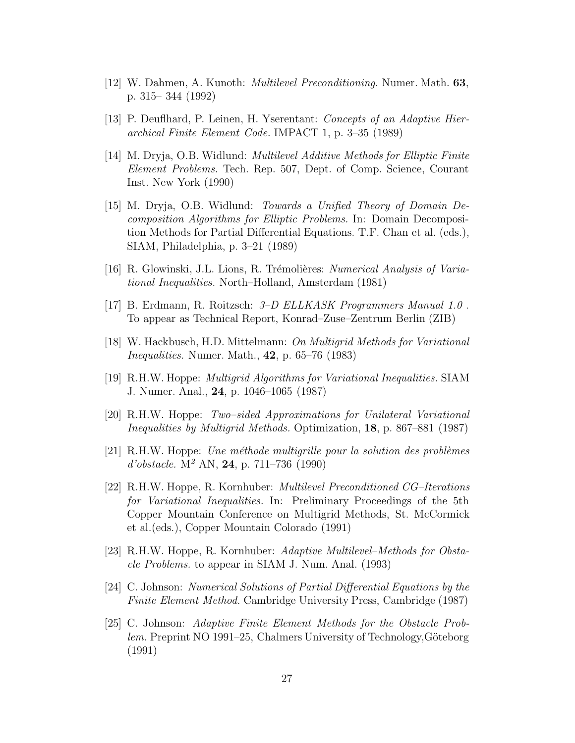- [12] W. Dahmen, A. Kunoth: *Multilevel Preconditioning.* Numer. Math. **63**, p. 315– 344 (1992)
- [13] P. Deuflhard, P. Leinen, H. Yserentant: *Concepts of an Adaptive Hierarchical Finite Element Code.* IMPACT 1, p. 3–35 (1989)
- [14] M. Dryja, O.B. Widlund: *Multilevel Additive Methods for Elliptic Finite Element Problems.* Tech. Rep. 507, Dept. of Comp. Science, Courant Inst. New York (1990)
- [15] M. Dryja, O.B. Widlund: *Towards a Unified Theory of Domain Decomposition Algorithms for Elliptic Problems.* In: Domain Decomposition Methods for Partial Differential Equations. T.F. Chan et al. (eds.), SIAM, Philadelphia, p. 3–21 (1989)
- [16] R. Glowinski, J.L. Lions, R. Trémolières: *Numerical Analysis of Variational Inequalities.* North–Holland, Amsterdam (1981)
- [17] B. Erdmann, R. Roitzsch: *3–D ELLKASK Programmers Manual 1.0* . To appear as Technical Report, Konrad–Zuse–Zentrum Berlin (ZIB)
- [18] W. Hackbusch, H.D. Mittelmann: *On Multigrid Methods for Variational Inequalities.* Numer. Math., **42**, p. 65–76 (1983)
- [19] R.H.W. Hoppe: *Multigrid Algorithms for Variational Inequalities.* SIAM J. Numer. Anal., **24**, p. 1046–1065 (1987)
- [20] R.H.W. Hoppe: *Two–sided Approximations for Unilateral Variational Inequalities by Multigrid Methods.* Optimization, **18**, p. 867–881 (1987)
- [21] R.H.W. Hoppe: *Une méthode multigrille pour la solution des problèmes d'obstacle.* M<sup>2</sup> AN, **24**, p. 711–736 (1990)
- [22] R.H.W. Hoppe, R. Kornhuber: *Multilevel Preconditioned CG–Iterations for Variational Inequalities.* In: Preliminary Proceedings of the 5th Copper Mountain Conference on Multigrid Methods, St. McCormick et al.(eds.), Copper Mountain Colorado (1991)
- [23] R.H.W. Hoppe, R. Kornhuber: *Adaptive Multilevel–Methods for Obstacle Problems.* to appear in SIAM J. Num. Anal. (1993)
- [24] C. Johnson: *Numerical Solutions of Partial Differential Equations by the Finite Element Method.* Cambridge University Press, Cambridge (1987)
- [25] C. Johnson: *Adaptive Finite Element Methods for the Obstacle Problem.* Preprint NO 1991–25, Chalmers University of Technology, Göteborg (1991)